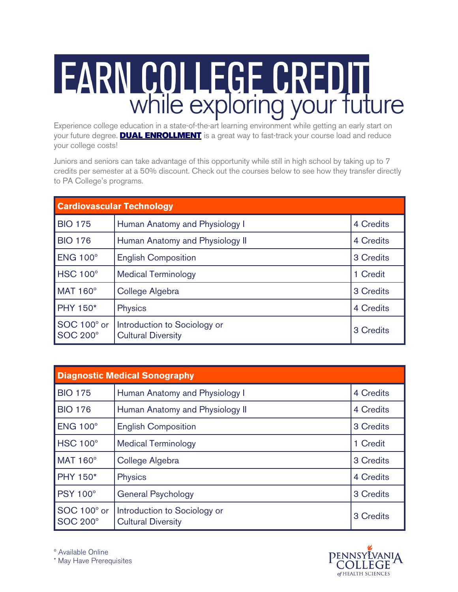## **FARN COLLEGE CREDIT**<br>While exploring your future

Experience college education in a state-of-the-art learning environment while getting an early start on your future degree. **DUAL ENROLLMENT** is a great way to fast-track your course load and reduce your college costs!

Juniors and seniors can take advantage of this opportunity while still in high school by taking up to 7 credits per semester at a 50% discount. Check out the courses below to see how they transfer directly to PA College's programs.

| <b>Cardiovascular Technology</b> |                                                           |           |
|----------------------------------|-----------------------------------------------------------|-----------|
| <b>BIO 175</b>                   | Human Anatomy and Physiology I                            | 4 Credits |
| <b>BIO 176</b>                   | Human Anatomy and Physiology II                           | 4 Credits |
| ENG 100°                         | <b>English Composition</b>                                | 3 Credits |
| HSC 100°                         | <b>Medical Terminology</b>                                | 1 Credit  |
| <b>MAT 160°</b>                  | College Algebra                                           | 3 Credits |
| <b>PHY 150*</b>                  | <b>Physics</b>                                            | 4 Credits |
| SOC 100° or<br><b>SOC 200°</b>   | Introduction to Sociology or<br><b>Cultural Diversity</b> | 3 Credits |

| <b>Diagnostic Medical Sonography</b> |                                                           |           |
|--------------------------------------|-----------------------------------------------------------|-----------|
| <b>BIO 175</b>                       | Human Anatomy and Physiology I                            | 4 Credits |
| <b>BIO 176</b>                       | Human Anatomy and Physiology II                           | 4 Credits |
| <b>ENG 100°</b>                      | <b>English Composition</b>                                | 3 Credits |
| <b>HSC 100°</b>                      | <b>Medical Terminology</b>                                | 1 Credit  |
| <b>MAT 160°</b>                      | College Algebra                                           | 3 Credits |
| <b>PHY 150*</b>                      | Physics                                                   | 4 Credits |
| <b>PSY 100°</b>                      | <b>General Psychology</b>                                 | 3 Credits |
| SOC 100° or<br><b>SOC 200°</b>       | Introduction to Sociology or<br><b>Cultural Diversity</b> | 3 Credits |



º Available Online

\* May Have Prerequisites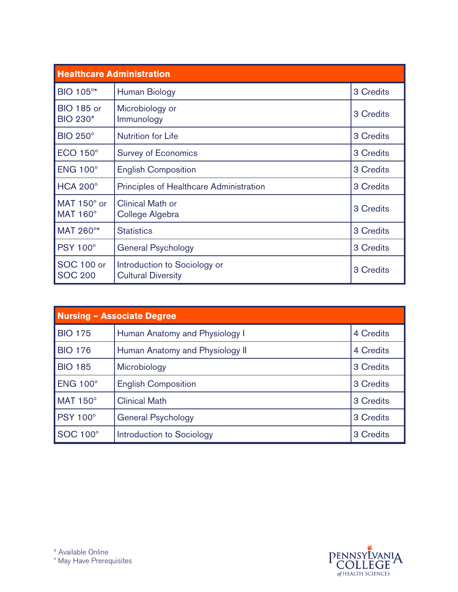| <b>Healthcare Administration</b>      |                                                           |           |
|---------------------------------------|-----------------------------------------------------------|-----------|
| BIO 105°*                             | Human Biology                                             | 3 Credits |
| <b>BIO 185 or</b><br><b>BIO 230*</b>  | Microbiology or<br>Immunology                             | 3 Credits |
| <b>BIO 250°</b>                       | <b>Nutrition for Life</b>                                 | 3 Credits |
| <b>ECO 150°</b>                       | <b>Survey of Economics</b>                                | 3 Credits |
| <b>ENG 100°</b>                       | <b>English Composition</b>                                | 3 Credits |
| <b>HCA 200°</b>                       | <b>Principles of Healthcare Administration</b>            | 3 Credits |
| MAT $150^\circ$ or<br><b>MAT 160°</b> | <b>Clinical Math or</b><br>College Algebra                | 3 Credits |
| MAT 260°*                             | <b>Statistics</b>                                         | 3 Credits |
| <b>PSY 100°</b>                       | <b>General Psychology</b>                                 | 3 Credits |
| <b>SOC 100 or</b><br><b>SOC 200</b>   | Introduction to Sociology or<br><b>Cultural Diversity</b> | 3 Credits |

| <b>Nursing - Associate Degree</b> |                                 |           |
|-----------------------------------|---------------------------------|-----------|
| <b>BIO 175</b>                    | Human Anatomy and Physiology I  | 4 Credits |
| <b>BIO 176</b>                    | Human Anatomy and Physiology II | 4 Credits |
| <b>BIO 185</b>                    | Microbiology                    | 3 Credits |
| <b>ENG 100°</b>                   | <b>English Composition</b>      | 3 Credits |
| <b>MAT 150°</b>                   | <b>Clinical Math</b>            | 3 Credits |
| <b>PSY 100°</b>                   | <b>General Psychology</b>       | 3 Credits |
| <b>SOC 100°</b>                   | Introduction to Sociology       | 3 Credits |

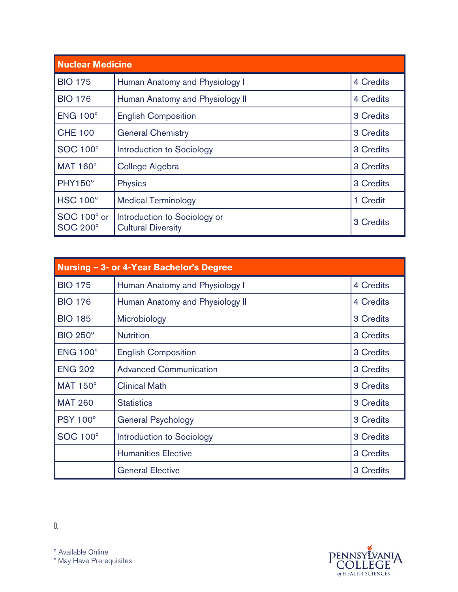| <b>Nuclear Medicine</b>        |                                                           |           |
|--------------------------------|-----------------------------------------------------------|-----------|
| <b>BIO 175</b>                 | Human Anatomy and Physiology I                            | 4 Credits |
| <b>BIO 176</b>                 | Human Anatomy and Physiology II                           | 4 Credits |
| <b>ENG 100°</b>                | <b>English Composition</b>                                | 3 Credits |
| <b>CHE 100</b>                 | <b>General Chemistry</b>                                  | 3 Credits |
| <b>SOC 100°</b>                | Introduction to Sociology                                 | 3 Credits |
| MAT 160°                       | College Algebra                                           | 3 Credits |
| <b>PHY150°</b>                 | <b>Physics</b>                                            | 3 Credits |
| HSC 100°                       | <b>Medical Terminology</b>                                | 1 Credit  |
| SOC 100° or<br><b>SOC 200°</b> | Introduction to Sociology or<br><b>Cultural Diversity</b> | 3 Credits |

| Nursing - 3- or 4-Year Bachelor's Degree |                                 |           |
|------------------------------------------|---------------------------------|-----------|
| <b>BIO 175</b>                           | Human Anatomy and Physiology I  | 4 Credits |
| <b>BIO 176</b>                           | Human Anatomy and Physiology II | 4 Credits |
| <b>BIO 185</b>                           | Microbiology                    | 3 Credits |
| <b>BIO 250°</b>                          | <b>Nutrition</b>                | 3 Credits |
| <b>ENG 100°</b>                          | <b>English Composition</b>      | 3 Credits |
| <b>ENG 202</b>                           | <b>Advanced Communication</b>   | 3 Credits |
| <b>MAT 150°</b>                          | <b>Clinical Math</b>            | 3 Credits |
| <b>MAT 260</b>                           | <b>Statistics</b>               | 3 Credits |
| <b>PSY 100°</b>                          | <b>General Psychology</b>       | 3 Credits |
| <b>SOC 100°</b>                          | Introduction to Sociology       | 3 Credits |
|                                          | <b>Humanities Elective</b>      | 3 Credits |
|                                          | <b>General Elective</b>         | 3 Credits |



º Available Online \* May Have Prerequisites

0.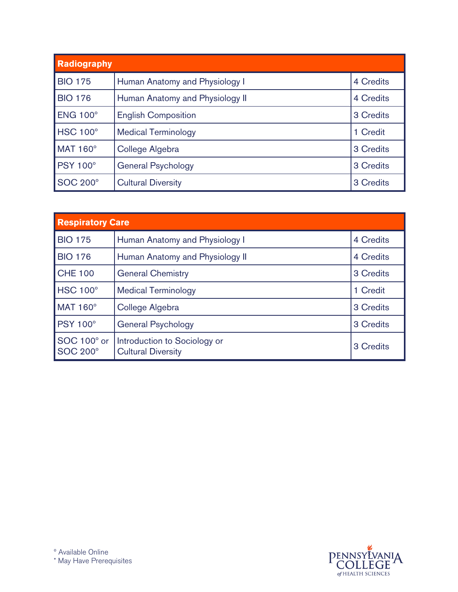| <b>Radiography</b> |                                 |           |
|--------------------|---------------------------------|-----------|
| <b>BIO 175</b>     | Human Anatomy and Physiology I  | 4 Credits |
| <b>BIO 176</b>     | Human Anatomy and Physiology II | 4 Credits |
| ENG 100°           | <b>English Composition</b>      | 3 Credits |
| HSC 100°           | <b>Medical Terminology</b>      | 1 Credit  |
| <b>MAT 160°</b>    | College Algebra                 | 3 Credits |
| <b>PSY 100°</b>    | <b>General Psychology</b>       | 3 Credits |
| <b>SOC 200°</b>    | <b>Cultural Diversity</b>       | 3 Credits |

| <b>Respiratory Care</b>        |                                                           |           |
|--------------------------------|-----------------------------------------------------------|-----------|
| <b>BIO 175</b>                 | Human Anatomy and Physiology I                            | 4 Credits |
| <b>BIO 176</b>                 | Human Anatomy and Physiology II                           | 4 Credits |
| <b>CHE 100</b>                 | <b>General Chemistry</b>                                  | 3 Credits |
| HSC 100°                       | <b>Medical Terminology</b>                                | 1 Credit  |
| <b>MAT 160°</b>                | College Algebra                                           | 3 Credits |
| <b>PSY 100°</b>                | <b>General Psychology</b>                                 | 3 Credits |
| SOC 100° or<br><b>SOC 200°</b> | Introduction to Sociology or<br><b>Cultural Diversity</b> | 3 Credits |